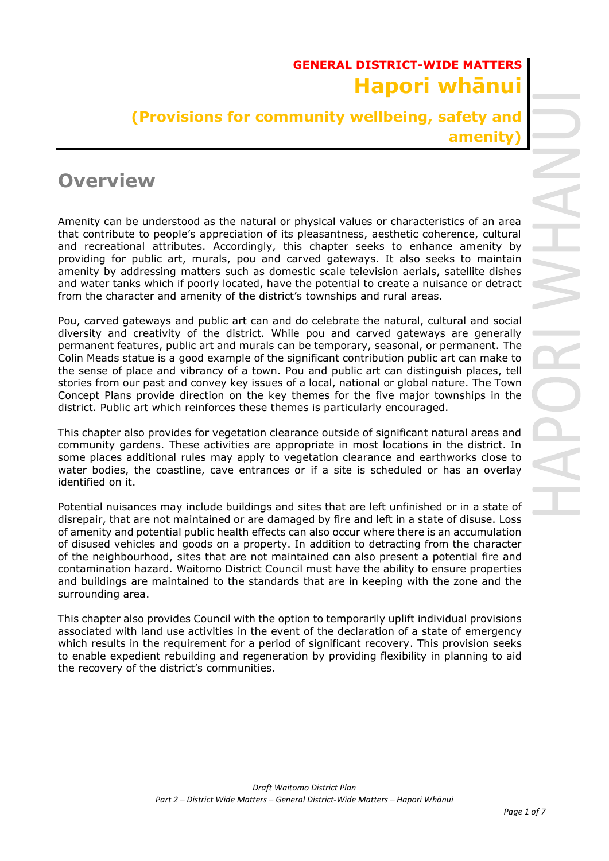## **GENERAL DISTRICT-WIDE MATTERS Hapori whānui**

**(Provisions for community wellbeing, safety and amenity)**

# **Overview**

Amenity can be understood as the natural or physical values or characteristics of an area that contribute to people's appreciation of its pleasantness, aesthetic coherence, cultural and recreational attributes. Accordingly, this chapter seeks to enhance amenity by providing for public art, murals, pou and carved gateways. It also seeks to maintain amenity by addressing matters such as domestic scale television aerials, satellite dishes and water tanks which if poorly located, have the potential to create a nuisance or detract from the character and amenity of the district's townships and rural areas.

Pou, carved gateways and public art can and do celebrate the natural, cultural and social diversity and creativity of the district. While pou and carved gateways are generally permanent features, public art and murals can be temporary, seasonal, or permanent. The Colin Meads statue is a good example of the significant contribution public art can make to the sense of place and vibrancy of a town. Pou and public art can distinguish places, tell stories from our past and convey key issues of a local, national or global nature. The Town Concept Plans provide direction on the key themes for the five major townships in the district. Public art which reinforces these themes is particularly encouraged.

This chapter also provides for vegetation clearance outside of significant natural areas and community gardens. These activities are appropriate in most locations in the district. In some places additional rules may apply to vegetation clearance and earthworks close to water bodies, the coastline, cave entrances or if a site is scheduled or has an overlay identified on it.

Potential nuisances may include buildings and sites that are left unfinished or in a state of disrepair, that are not maintained or are damaged by fire and left in a state of disuse. Loss of amenity and potential public health effects can also occur where there is an accumulation of disused vehicles and goods on a property. In addition to detracting from the character of the neighbourhood, sites that are not maintained can also present a potential fire and contamination hazard. Waitomo District Council must have the ability to ensure properties and buildings are maintained to the standards that are in keeping with the zone and the surrounding area.

This chapter also provides Council with the option to temporarily uplift individual provisions associated with land use activities in the event of the declaration of a state of emergency which results in the requirement for a period of significant recovery. This provision seeks to enable expedient rebuilding and regeneration by providing flexibility in planning to aid the recovery of the district's communities.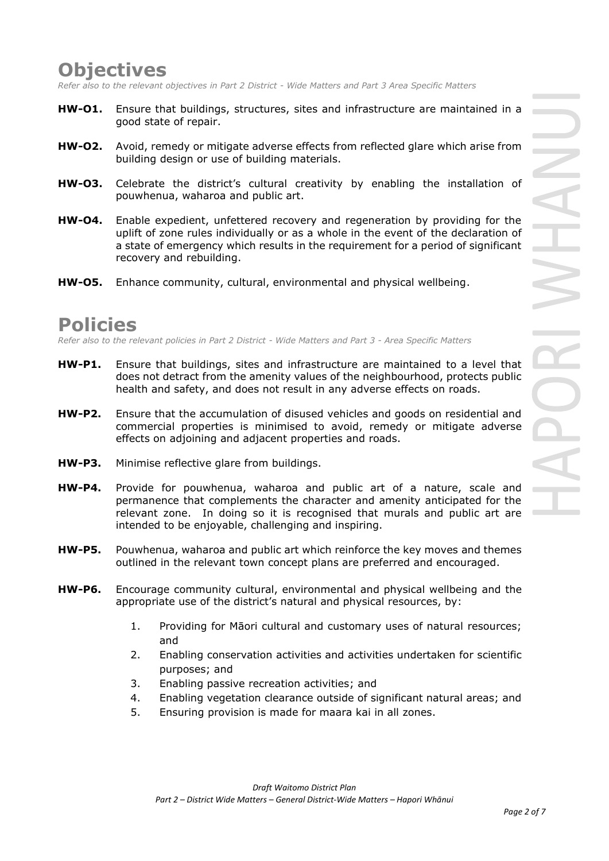### **Objectives**

*Refer also to the relevant objectives in Part 2 District - Wide Matters and Part 3 Area Specific Matters*

- **HW-O1.** Ensure that buildings, structures, sites and infrastructure are maintained in a good state of repair.
- **HW-O2.** Avoid, remedy or mitigate adverse effects from reflected glare which arise from building design or use of building materials.
- **HW-O3.** Celebrate the district's cultural creativity by enabling the installation of pouwhenua, waharoa and public art.
- **HW-O4.** Enable expedient, unfettered recovery and regeneration by providing for the uplift of zone rules individually or as a whole in the event of the declaration of a state of emergency which results in the requirement for a period of significant recovery and rebuilding.
- **HW-O5.** Enhance community, cultural, environmental and physical wellbeing.

### **Policies**

*Refer also to the relevant policies in Part 2 District - Wide Matters and Part 3 - Area Specific Matters*

- **HW-P1.** Ensure that buildings, sites and infrastructure are maintained to a level that does not detract from the amenity values of the neighbourhood, protects public health and safety, and does not result in any adverse effects on roads.
- **HW-P2.** Ensure that the accumulation of disused vehicles and goods on residential and commercial properties is minimised to avoid, remedy or mitigate adverse effects on adjoining and adjacent properties and roads.
- **HW-P3.** Minimise reflective glare from buildings.
- **HW-P4.** Provide for pouwhenua, waharoa and public art of a nature, scale and permanence that complements the character and amenity anticipated for the relevant zone. In doing so it is recognised that murals and public art are intended to be enjoyable, challenging and inspiring.
- **HW-P5.** Pouwhenua, waharoa and public art which reinforce the key moves and themes outlined in the relevant town concept plans are preferred and encouraged.
- **HW-P6.** Encourage community cultural, environmental and physical wellbeing and the appropriate use of the district's natural and physical resources, by:
	- 1. Providing for Māori cultural and customary uses of natural resources; and
	- 2. Enabling conservation activities and activities undertaken for scientific purposes; and
	- 3. Enabling passive recreation activities; and
	- 4. Enabling vegetation clearance outside of significant natural areas; and
	- 5. Ensuring provision is made for maara kai in all zones.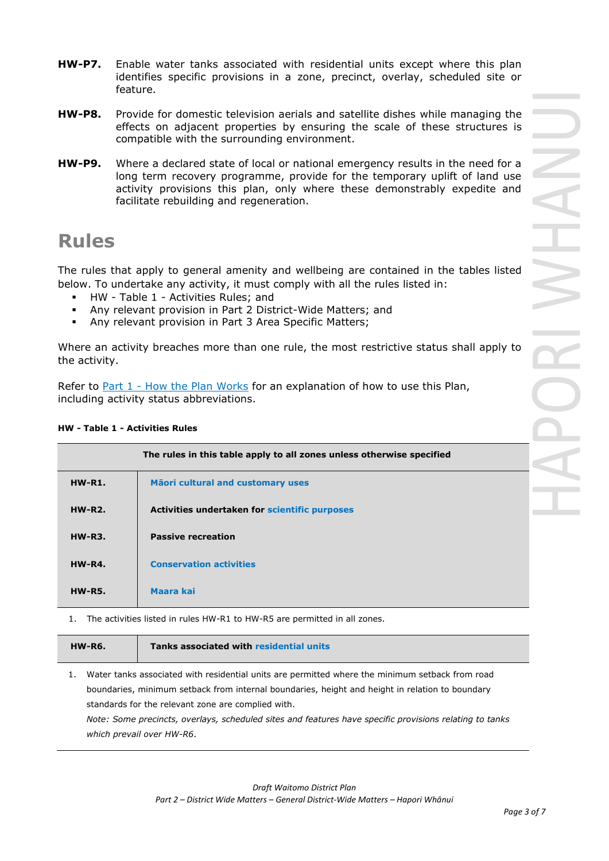- **HW-P7.** Enable water tanks associated with residential units except where this plan identifies specific provisions in a zone, precinct, overlay, scheduled site or feature.
- **HW-P8.** Provide for domestic television aerials and satellite dishes while managing the effects on adjacent properties by ensuring the scale of these structures is compatible with the surrounding environment.
- **HW-P9.** Where a declared state of local or national emergency results in the need for a long term recovery programme, provide for the temporary uplift of land use activity provisions this plan, only where these demonstrably expedite and facilitate rebuilding and regeneration.

# **Rules**

The rules that apply to general amenity and wellbeing are contained in the tables listed below. To undertake any activity, it must comply with all the rules listed in:

- HW Table 1 Activities Rules: and
- Any relevant provision in Part 2 District-Wide Matters; and
- Any relevant provision in Part 3 Area Specific Matters;

Where an activity breaches more than one rule, the most restrictive status shall apply to the activity.

Refer to [Part 1](javascript:void(0)) - How the Plan Works for an explanation of how to use this Plan, including activity status abbreviations.

#### **HW - Table 1 - Activities Rules**

|               | The rules in this table apply to all zones unless otherwise specified |
|---------------|-----------------------------------------------------------------------|
| $HW-R1.$      | Māori cultural and customary uses                                     |
| $HW-R2$ .     | Activities undertaken for scientific purposes                         |
| <b>HW-R3.</b> | <b>Passive recreation</b>                                             |
| <b>HW-R4.</b> | <b>Conservation activities</b>                                        |
| <b>HW-R5.</b> | <b>Maara kai</b>                                                      |

1. The activities listed in rules HW-R1 to HW-R5 are permitted in all zones.

| <b>HW-R6.</b> | <b>Tanks associated with residential units</b> |
|---------------|------------------------------------------------|
|               |                                                |

1. Water tanks associated with residential units are permitted where the minimum setback from road boundaries, minimum setback from internal boundaries, height and height in relation to boundary standards for the relevant zone are complied with.

*Note: Some precincts, overlays, scheduled sites and features have specific provisions relating to tanks which prevail over HW-R6*.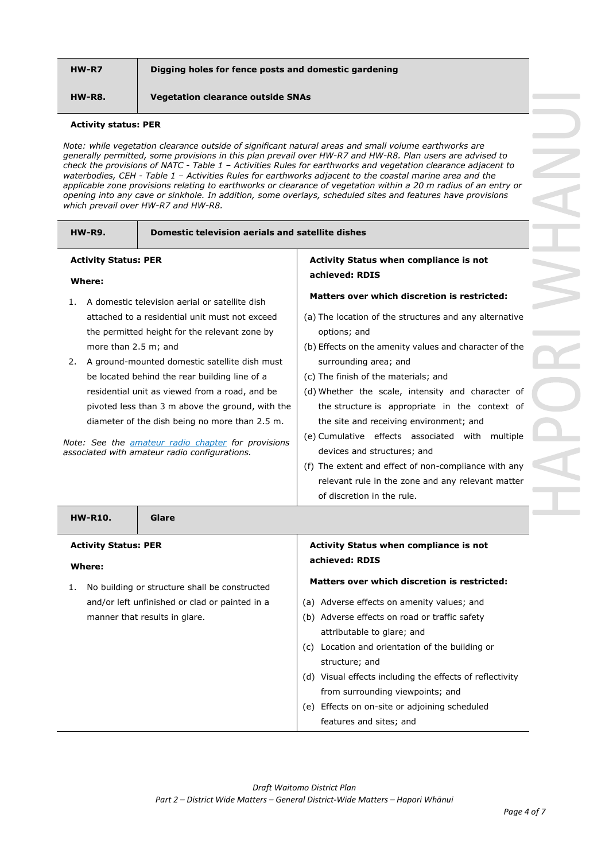#### **HW-R7 Digging holes for fence posts and domestic gardening**

**HW-R8. Vegetation clearance outside SNAs**

#### **Activity status: PER**

*Note: while vegetation clearance outside of significant natural areas and small volume earthworks are generally permitted, some provisions in this plan prevail over HW-R7 and HW-R8. Plan users are advised to check the provisions of NATC - Table 1 – Activities Rules for earthworks and vegetation clearance adjacent to waterbodies, CEH - Table 1 – Activities Rules for earthworks adjacent to the coastal marine area and the applicable zone provisions relating to earthworks or clearance of vegetation within a 20 m radius of an entry or opening into any cave or sinkhole. In addition, some overlays, scheduled sites and features have provisions which prevail over HW-R7 and HW-R8.*

| <b>HW-R9.</b><br><b>Domestic television aerials and satellite dishes</b>                                                                                                                                                                                                                                                                                                                                                                                                                                                                               |                                                                                                                                                                                                                                                                                                                                                                                                                                                                                                                                                  |
|--------------------------------------------------------------------------------------------------------------------------------------------------------------------------------------------------------------------------------------------------------------------------------------------------------------------------------------------------------------------------------------------------------------------------------------------------------------------------------------------------------------------------------------------------------|--------------------------------------------------------------------------------------------------------------------------------------------------------------------------------------------------------------------------------------------------------------------------------------------------------------------------------------------------------------------------------------------------------------------------------------------------------------------------------------------------------------------------------------------------|
| <b>Activity Status: PER</b><br>Where:                                                                                                                                                                                                                                                                                                                                                                                                                                                                                                                  | Activity Status when compliance is not<br>achieved: RDIS                                                                                                                                                                                                                                                                                                                                                                                                                                                                                         |
| A domestic television aerial or satellite dish<br>1.<br>attached to a residential unit must not exceed<br>the permitted height for the relevant zone by<br>more than 2.5 m; and<br>A ground-mounted domestic satellite dish must<br>2.<br>be located behind the rear building line of a<br>residential unit as viewed from a road, and be<br>pivoted less than 3 m above the ground, with the<br>diameter of the dish being no more than 2.5 m.<br>Note: See the amateur radio chapter for provisions<br>associated with amateur radio configurations. | Matters over which discretion is restricted:<br>(a) The location of the structures and any alternative<br>options; and<br>(b) Effects on the amenity values and character of the<br>surrounding area; and<br>(c) The finish of the materials; and<br>(d) Whether the scale, intensity and character of<br>the structure is appropriate in the context of<br>the site and receiving environment; and<br>(e) Cumulative effects associated with<br>multiple<br>devices and structures; and<br>(f) The extent and effect of non-compliance with any |
|                                                                                                                                                                                                                                                                                                                                                                                                                                                                                                                                                        | relevant rule in the zone and any relevant matter<br>of discretion in the rule.                                                                                                                                                                                                                                                                                                                                                                                                                                                                  |
| <b>HW-R10.</b><br>Glare                                                                                                                                                                                                                                                                                                                                                                                                                                                                                                                                |                                                                                                                                                                                                                                                                                                                                                                                                                                                                                                                                                  |
| <b>Activity Status: PER</b><br><b>Where:</b>                                                                                                                                                                                                                                                                                                                                                                                                                                                                                                           | Activity Status when compliance is not<br>achieved: RDIS                                                                                                                                                                                                                                                                                                                                                                                                                                                                                         |
| No building or structure shall be constructed<br>1.<br>and/or left unfinished or clad or painted in a<br>manner that results in glare.                                                                                                                                                                                                                                                                                                                                                                                                                 | <b>Matters over which discretion is restricted:</b><br>(a) Adverse effects on amenity values; and<br>(b) Adverse effects on road or traffic safety<br>attributable to glare; and<br>(c) Location and orientation of the building or<br>structure; and<br>(d) Visual effects including the effects of reflectivity<br>from surrounding viewpoints; and<br>(e) Effects on on-site or adjoining scheduled<br>features and sites; and                                                                                                                |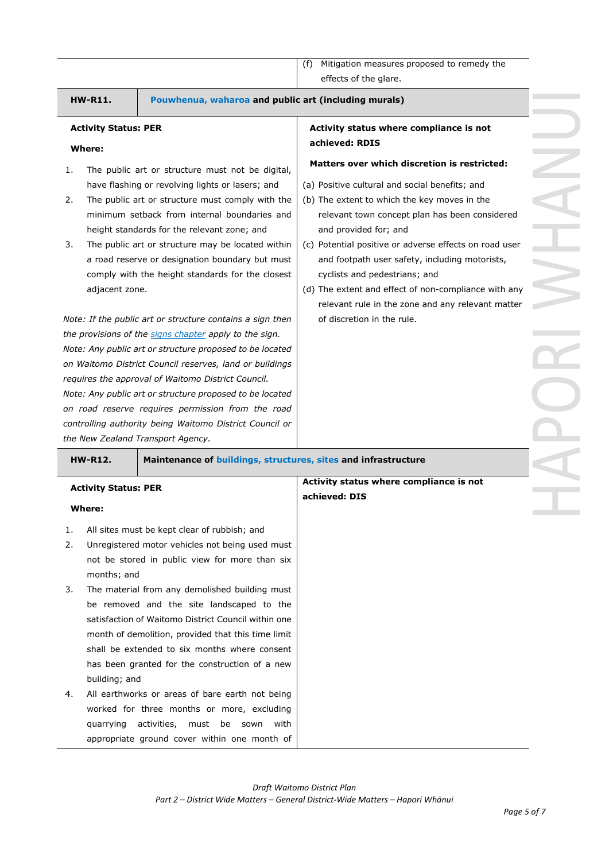#### **HW-R11. Pouwhenua, waharoa and public art (including murals)**

#### **Activity Status: PER**

**Activity Status: PER**

months; and

**Where:**

#### **Where:**

- 1. The public art or structure must not be digital, have flashing or revolving lights or lasers; and
- 2. The public art or structure must comply with the minimum setback from internal boundaries and height standards for the relevant zone; and
- 3. The public art or structure may be located within a road reserve or designation boundary but must comply with the height standards for the closest adjacent zone.

*Note: If the public art or structure contains a sign then the provisions of the signs chapter apply to the sign. Note: Any public art or structure proposed to be located on Waitomo District Council reserves, land or buildings requires the approval of Waitomo District Council. Note: Any public art or structure proposed to be located on road reserve requires permission from the road controlling authority being Waitomo District Council or the New Zealand Transport Agency.* 

1. All sites must be kept clear of rubbish; and 2. Unregistered motor vehicles not being used must not be stored in public view for more than six

3. The material from any demolished building must be removed and the site landscaped to the satisfaction of Waitomo District Council within one

**HW-R12. Maintenance of buildings, structures, sites and infrastructure**

#### **Activity status where compliance is not achieved: RDIS**

#### **Matters over which discretion is restricted:**

- (a) Positive cultural and social benefits; and
- (b) The extent to which the key moves in the relevant town concept plan has been considered and provided for; and
- (c) Potential positive or adverse effects on road user and footpath user safety, including motorists, cyclists and pedestrians; and
- (d) The extent and effect of non-compliance with any relevant rule in the zone and any relevant matter of discretion in the rule.

**Activity status where compliance is not** 

**achieved: DIS**

|    | month of demolition, provided that this time limit |
|----|----------------------------------------------------|
|    | shall be extended to six months where consent      |
|    | has been granted for the construction of a new     |
|    | building; and                                      |
| 4. | All earthworks or areas of bare earth not being    |
|    | worked for three months or more, excluding         |
|    | quarrying activities, must be sown<br>with         |
|    | appropriate ground cover within one month of       |
|    |                                                    |
|    |                                                    |
|    |                                                    |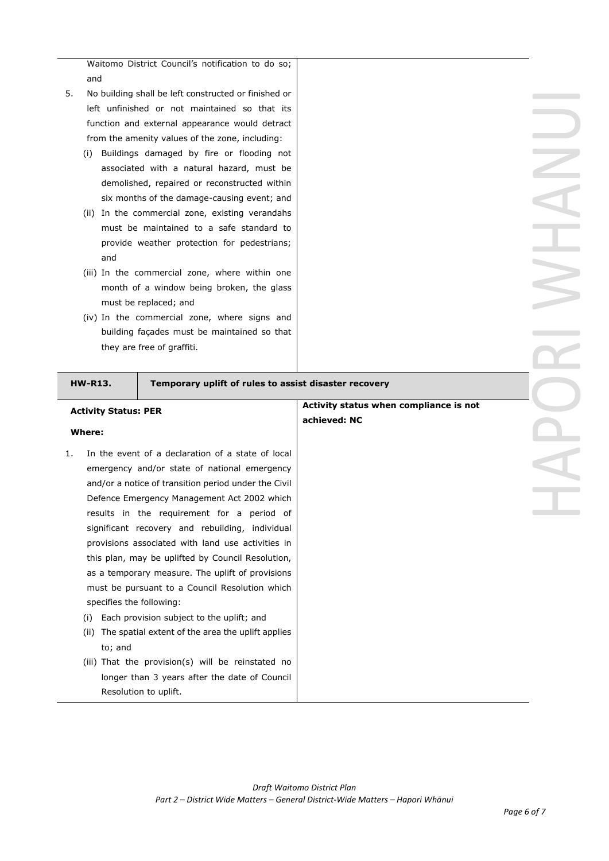Waitomo District Council's notification to do so; and

- 5. No building shall be left constructed or finished or left unfinished or not maintained so that its function and external appearance would detract from the amenity values of the zone, including:
	- (i) Buildings damaged by fire or flooding not associated with a natural hazard, must be demolished, repaired or reconstructed within six months of the damage-causing event; and
	- (ii) In the commercial zone, existing verandahs must be maintained to a safe standard to provide weather protection for pedestrians; and
	- (iii) In the commercial zone, where within one month of a window being broken, the glass must be replaced; and
	- (iv) In the commercial zone, where signs and building façades must be maintained so that they are free of graffiti.

#### **HW-R13. Temporary uplift of rules to assist disaster recovery**

### **Activity Status: PER Where:** 1. In the event of a declaration of a state of local emergency and/or state of national emergency and/or a notice of transition period under the Civil Defence Emergency Management Act 2002 which results in the requirement for a period of significant recovery and rebuilding, individual provisions associated with land use activities in this plan, may be uplifted by Council Resolution, as a temporary measure. The uplift of provisions must be pursuant to a Council Resolution which specifies the following: (i) Each provision subject to the uplift; and (ii) The spatial extent of the area the uplift applies to; and (iii) That the provision(s) will be reinstated no longer than 3 years after the date of Council Resolution to uplift. **Activity status when compliance is not achieved: NC**